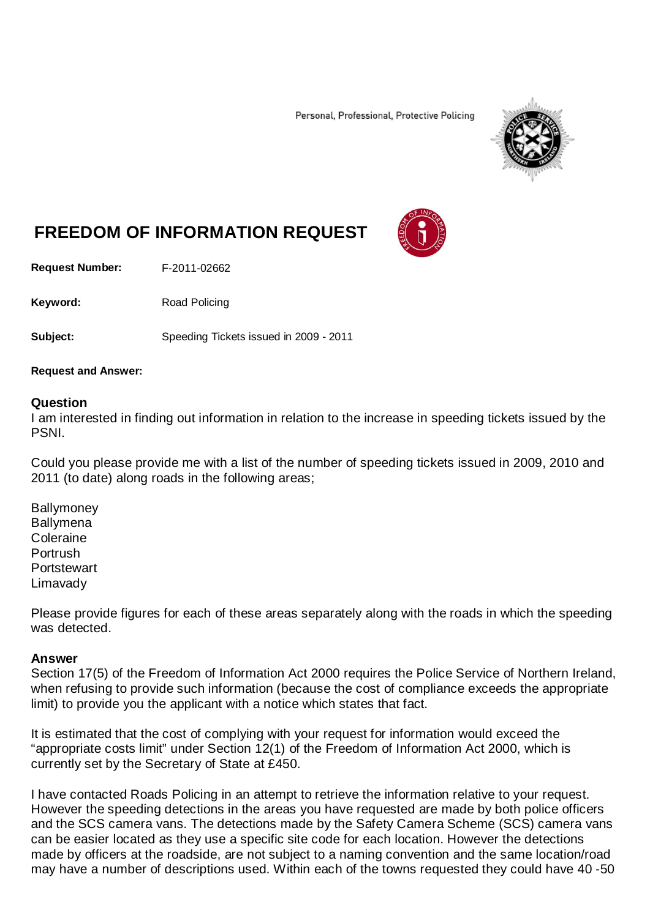Personal, Professional, Protective Policing



## **FREEDOM OF INFORMATION REQUEST**

**Request Number:** F-2011-02662

Keyword: Road Policing

**Subject:** Speeding Tickets issued in 2009 - 2011

## **Request and Answer:**

## **Question**

I am interested in finding out information in relation to the increase in speeding tickets issued by the PSNI.

Could you please provide me with a list of the number of speeding tickets issued in 2009, 2010 and 2011 (to date) along roads in the following areas;

**Ballymoney Ballymena** Coleraine Portrush **Portstewart** Limavady

Please provide figures for each of these areas separately along with the roads in which the speeding was detected.

## **Answer**

Section 17(5) of the Freedom of Information Act 2000 requires the Police Service of Northern Ireland, when refusing to provide such information (because the cost of compliance exceeds the appropriate limit) to provide you the applicant with a notice which states that fact.

It is estimated that the cost of complying with your request for information would exceed the "appropriate costs limit" under Section 12(1) of the Freedom of Information Act 2000, which is currently set by the Secretary of State at £450.

I have contacted Roads Policing in an attempt to retrieve the information relative to your request. However the speeding detections in the areas you have requested are made by both police officers and the SCS camera vans. The detections made by the Safety Camera Scheme (SCS) camera vans can be easier located as they use a specific site code for each location. However the detections made by officers at the roadside, are not subject to a naming convention and the same location/road may have a number of descriptions used. Within each of the towns requested they could have 40 -50